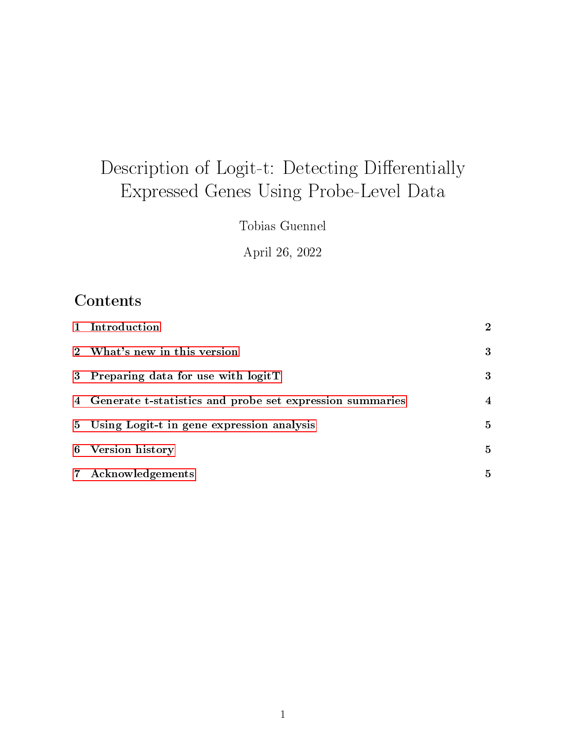# Description of Logit-t: Detecting Differentially Expressed Genes Using Probe-Level Data

Tobias Guennel

April 26, 2022

## **Contents**

|                | 1 Introduction                                             | $\overline{2}$ |
|----------------|------------------------------------------------------------|----------------|
|                | 2 What's new in this version                               | 3              |
|                | 3 Preparing data for use with logitT                       | 3              |
|                | 4 Generate t-statistics and probe set expression summaries | 4              |
|                | 5 Using Logit-t in gene expression analysis                | $\mathbf{5}$   |
| 6              | <b>Version history</b>                                     | $\mathbf{5}$   |
| $7\phantom{.}$ | Acknowledgements                                           | $\mathbf{5}$   |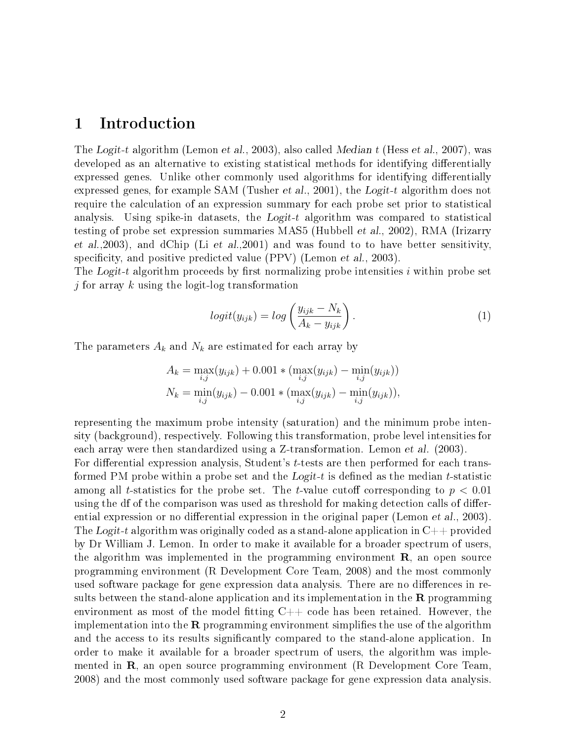#### <span id="page-1-0"></span>1 Introduction

The Logit-t algorithm (Lemon et al., 2003), also called Median t (Hess et al., 2007), was developed as an alternative to existing statistical methods for identifying differentially expressed genes. Unlike other commonly used algorithms for identifying differentially expressed genes, for example SAM (Tusher et al., 2001), the Logit-t algorithm does not require the calculation of an expression summary for each probe set prior to statistical analysis. Using spike-in datasets, the Logit-t algorithm was compared to statistical testing of probe set expression summaries MAS5 (Hubbell et al., 2002), RMA (Irizarry et al.,2003), and dChip (Li et al.,2001) and was found to to have better sensitivity, specificity, and positive predicted value  $(PPV)$  (Lemon *et al.*, 2003).

The Logit-t algorithm proceeds by first normalizing probe intensities  $i$  within probe set j for array  $k$  using the logit-log transformation

$$
logit(y_{ijk}) = log\left(\frac{y_{ijk} - N_k}{A_k - y_{ijk}}\right).
$$
\n(1)

The parameters  $A_k$  and  $N_k$  are estimated for each array by

$$
A_k = \max_{i,j} (y_{ijk}) + 0.001 * (\max_{i,j} (y_{ijk}) - \min_{i,j} (y_{ijk}))
$$
  

$$
N_k = \min_{i,j} (y_{ijk}) - 0.001 * (\max_{i,j} (y_{ijk}) - \min_{i,j} (y_{ijk})),
$$

representing the maximum probe intensity (saturation) and the minimum probe intensity (background), respectively. Following this transformation, probe level intensities for each array were then standardized using a Z-transformation. Lemon et al. (2003).

For differential expression analysis, Student's  $t$ -tests are then performed for each transformed PM probe within a probe set and the  $Logit-t$  is defined as the median t-statistic among all t-statistics for the probe set. The t-value cutoff corresponding to  $p < 0.01$ using the df of the comparison was used as threshold for making detection calls of differential expression or no differential expression in the original paper (Lemon et al., 2003). The Logit-t algorithm was originally coded as a stand-alone application in  $C_{++}$  provided by Dr William J. Lemon. In order to make it available for a broader spectrum of users, the algorithm was implemented in the programming environment  $\bf{R}$ , an open source programming environment (R Development Core Team, 2008) and the most commonly used software package for gene expression data analysis. There are no differences in results between the stand-alone application and its implementation in the  $\bf{R}$  programming environment as most of the model fitting  $C++$  code has been retained. However, the implementation into the  $\bf R$  programming environment simplifies the use of the algorithm and the access to its results significantly compared to the stand-alone application. In order to make it available for a broader spectrum of users, the algorithm was implemented in  $\mathbf{R}$ , an open source programming environment (R Development Core Team, 2008) and the most commonly used software package for gene expression data analysis.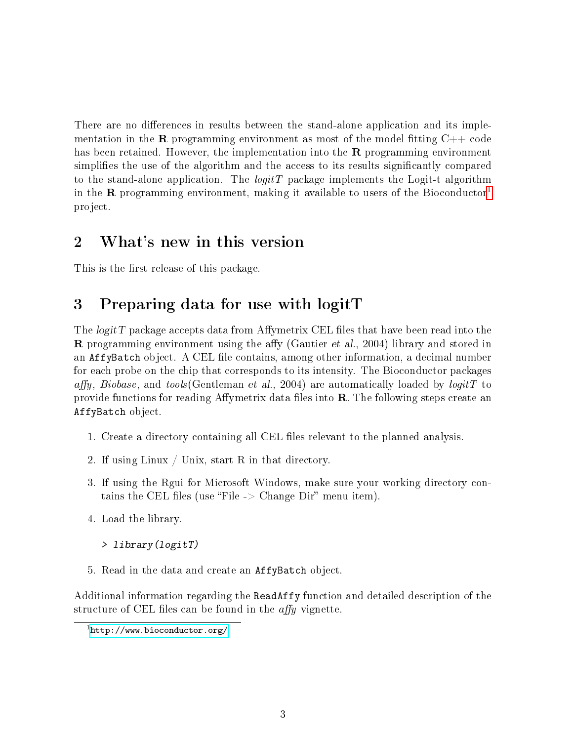There are no differences in results between the stand-alone application and its implementation in the **R** programming environment as most of the model fitting  $C++$  code has been retained. However, the implementation into the  $\bf R$  programming environment simplies the use of the algorithm and the access to its results signicantly compared to the stand-alone application. The  $logitT$  package implements the Logit-t algorithm in the **R** programming environment, making it available to users of the Bioconductor<sup>[1](#page-2-2)</sup> project.

### <span id="page-2-0"></span>2 What's new in this version

This is the first release of this package.

### <span id="page-2-1"></span>3 Preparing data for use with logitT

The *logitT* package accepts data from Affymetrix CEL files that have been read into the **R** programming environment using the affy (Gautier *et al.*, 2004) library and stored in an AffyBatch object. A CEL file contains, among other information, a decimal number for each probe on the chip that corresponds to its intensity. The Bioconductor packages affy, Biobase, and tools (Gentleman et al., 2004) are automatically loaded by  $logitT$  to provide functions for reading Affymetrix data files into  $\bf{R}$ . The following steps create an AffyBatch object.

- 1. Create a directory containing all CEL files relevant to the planned analysis.
- 2. If using Linux / Unix, start R in that directory.
- 3. If using the Rgui for Microsoft Windows, make sure your working directory contains the CEL files (use "File  $\geq$  Change Dir" menu item).
- 4. Load the library.
	- > library(logitT)
- 5. Read in the data and create an AffyBatch object.

Additional information regarding the ReadAffy function and detailed description of the structure of CEL files can be found in the  $affy$  vignette.

<span id="page-2-2"></span> $1$ <http://www.bioconductor.org/>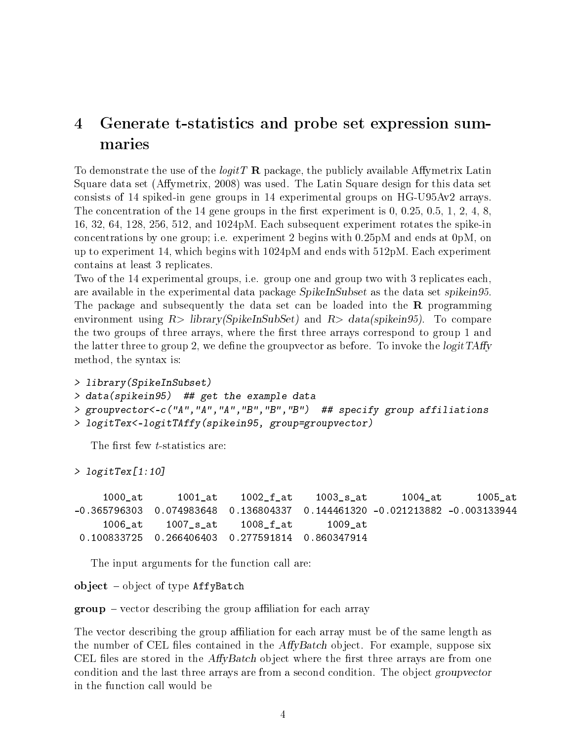### <span id="page-3-0"></span>4 Generate t-statistics and probe set expression summaries

To demonstrate the use of the *logitT* **R** package, the publicly available Affymetrix Latin Square data set (Affymetrix, 2008) was used. The Latin Square design for this data set consists of 14 spiked-in gene groups in 14 experimental groups on HG-U95Av2 arrays. The concentration of the 14 gene groups in the first experiment is  $0, 0.25, 0.5, 1, 2, 4, 8$ , 16, 32, 64, 128, 256, 512, and 1024pM. Each subsequent experiment rotates the spike-in concentrations by one group; i.e. experiment 2 begins with 0.25pM and ends at 0pM, on up to experiment 14, which begins with 1024pM and ends with 512pM. Each experiment contains at least 3 replicates.

Two of the 14 experimental groups, i.e. group one and group two with 3 replicates each, are available in the experimental data package SpikeInSubset as the data set spikein95. The package and subsequently the data set can be loaded into the  $\bf{R}$  programming environment using  $R$ > library(SpikeInSubSet) and  $R$ > data(spikein95). To compare the two groups of three arrays, where the first three arrays correspond to group 1 and the latter three to group 2, we define the groupvector as before. To invoke the *logit TAffy* method, the syntax is:

```
> library(SpikeInSubset)
> data(spikein95) ## get the example data
> groupvector<-c("A","A","A","B","B","B") ## specify group affiliations
> logitTex<-logitTAffy(spikein95, group=groupvector)
```
The first few *t*-statistics are:

> logitTex[1:10]

1000\_at 1001\_at 1002\_f\_at 1003\_s\_at 1004\_at 1005\_at -0.365796303 0.074983648 0.136804337 0.144461320 -0.021213882 -0.003133944 1006\_at 1007\_s\_at 1008\_f\_at 1009\_at 0.100833725 0.266406403 0.277591814 0.860347914

The input arguments for the function call are:

object  $-$  object of type AffyBatch

 $group - vector describing the group$  affiliation for each array

The vector describing the group affiliation for each array must be of the same length as the number of CEL files contained in the  $AffyBatch$  object. For example, suppose six CEL files are stored in the  $AffyBatch$  object where the first three arrays are from one condition and the last three arrays are from a second condition. The object groupvector in the function call would be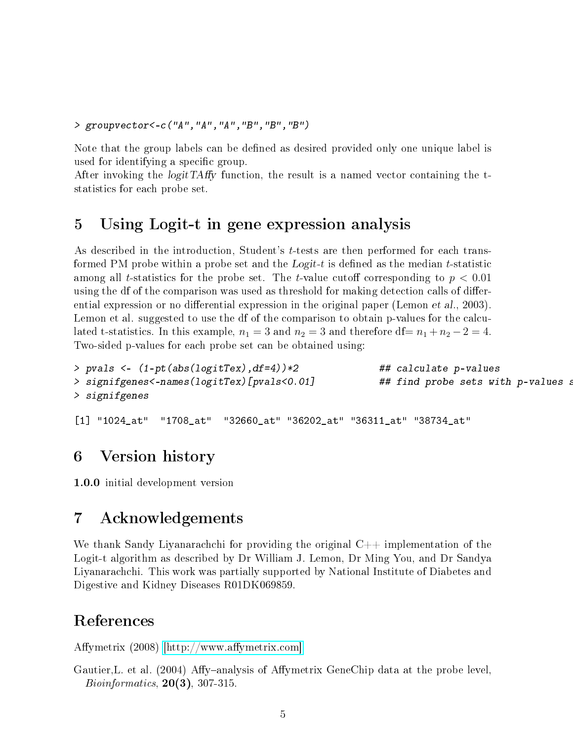> groupvector<-c("A","A","A","B","B","B")

Note that the group labels can be defined as desired provided only one unique label is used for identifying a specific group.

After invoking the *logitTAffy* function, the result is a named vector containing the tstatistics for each probe set.

### <span id="page-4-0"></span>5 Using Logit-t in gene expression analysis

As described in the introduction, Student's t-tests are then performed for each transformed PM probe within a probe set and the  $Logit-t$  is defined as the median t-statistic among all t-statistics for the probe set. The t-value cutoff corresponding to  $p < 0.01$ using the df of the comparison was used as threshold for making detection calls of differential expression or no differential expression in the original paper (Lemon et al., 2003). Lemon et al. suggested to use the df of the comparison to obtain p-values for the calculated t-statistics. In this example,  $n_1 = 3$  and  $n_2 = 3$  and therefore df=  $n_1 + n_2 - 2 = 4$ . Two-sided p-values for each probe set can be obtained using:

```
> pvals <- (1-pt(abs(logitTex),df=4))*2 ## calculate p-values
> signifgenes<-names(logitTex)[pvals<0.01]
> signifgenes
```
[1] "1024\_at" "1708\_at" "32660\_at" "36202\_at" "36311\_at" "38734\_at"

#### <span id="page-4-1"></span>6 Version history

1.0.0 initial development version

### <span id="page-4-2"></span>7 Acknowledgements

We thank Sandy Liyanarachchi for providing the original  $C_{++}$  implementation of the Logit-t algorithm as described by Dr William J. Lemon, Dr Ming You, and Dr Sandya Liyanarachchi. This work was partially supported by National Institute of Diabetes and Digestive and Kidney Diseases R01DK069859.

### References

Affymetrix  $(2008)$  [http://www.affymetrix.com].

Gautier, L. et al. (2004) Affy-analysis of Affymetrix GeneChip data at the probe level.  $Bioinformatics, 20(3), 307-315.$